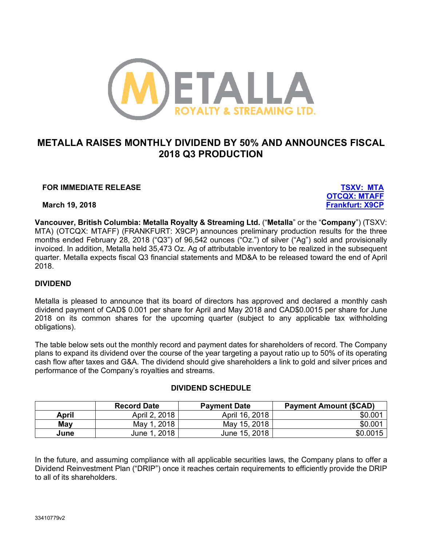

# **METALLA RAISES MONTHLY DIVIDEND BY 50% AND ANNOUNCES FISCAL 2018 Q3 PRODUCTION**

# **FOR IMMEDIATE RELEASE TSXV: MTA**

**OTCQX: MTAFF March 19, 2018 Frankfurt: X9CP**

**Vancouver, British Columbia: Metalla Royalty & Streaming Ltd.** ("**Metalla**" or the "**Company**") (TSXV: MTA) (OTCQX: MTAFF) (FRANKFURT: X9CP) announces preliminary production results for the three months ended February 28, 2018 ("Q3") of 96,542 ounces ("Oz.") of silver ("Ag") sold and provisionally invoiced. In addition, Metalla held 35,473 Oz. Ag of attributable inventory to be realized in the subsequent quarter. Metalla expects fiscal Q3 financial statements and MD&A to be released toward the end of April 2018.

# **DIVIDEND**

Metalla is pleased to announce that its board of directors has approved and declared a monthly cash dividend payment of CAD\$ 0.001 per share for April and May 2018 and CAD\$0.0015 per share for June 2018 on its common shares for the upcoming quarter (subject to any applicable tax withholding obligations).

The table below sets out the monthly record and payment dates for shareholders of record. The Company plans to expand its dividend over the course of the year targeting a payout ratio up to 50% of its operating cash flow after taxes and G&A. The dividend should give shareholders a link to gold and silver prices and performance of the Company's royalties and streams.

|       | <b>Record Date</b> | <b>Payment Date</b> | <b>Payment Amount (\$CAD)</b> |
|-------|--------------------|---------------------|-------------------------------|
| April | April 2, 2018      | April 16, 2018      | \$0.001                       |
| May   | . 2018<br>Mav 1    | May 15, 2018        | \$0.001                       |
| June  | . 2018<br>June 1   | June 15, 2018       | \$0.0015                      |

In the future, and assuming compliance with all applicable securities laws, the Company plans to offer a Dividend Reinvestment Plan ("DRIP") once it reaches certain requirements to efficiently provide the DRIP to all of its shareholders.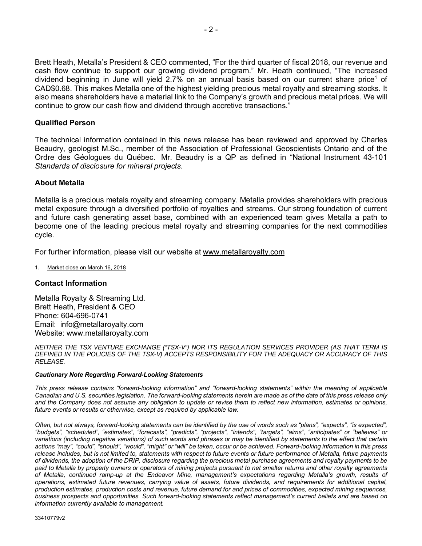Brett Heath, Metalla's President & CEO commented, "For the third quarter of fiscal 2018, our revenue and cash flow continue to support our growing dividend program." Mr. Heath continued, "The increased dividend beginning in June will yield 2.7% on an annual basis based on our current share price<sup>1</sup> of CAD\$0.68. This makes Metalla one of the highest yielding precious metal royalty and streaming stocks. It also means shareholders have a material link to the Company's growth and precious metal prices. We will continue to grow our cash flow and dividend through accretive transactions."

### **Qualified Person**

The technical information contained in this news release has been reviewed and approved by Charles Beaudry, geologist M.Sc., member of the Association of Professional Geoscientists Ontario and of the Ordre des Géologues du Québec. Mr. Beaudry is a QP as defined in "National Instrument 43-101 *Standards of disclosure for mineral projects*.

#### **About Metalla**

Metalla is a precious metals royalty and streaming company. Metalla provides shareholders with precious metal exposure through a diversified portfolio of royalties and streams. Our strong foundation of current and future cash generating asset base, combined with an experienced team gives Metalla a path to become one of the leading precious metal royalty and streaming companies for the next commodities cycle.

For further information, please visit our website at www.metallaroyalty.com

1. Market close on March 16, 2018

#### **Contact Information**

Metalla Royalty & Streaming Ltd. Brett Heath, President & CEO Phone: 604-696-0741 Email: info@metallaroyalty.com Website: www.metallaroyalty.com

*NEITHER THE TSX VENTURE EXCHANGE ("TSX-V") NOR ITS REGULATION SERVICES PROVIDER (AS THAT TERM IS DEFINED IN THE POLICIES OF THE TSX-V) ACCEPTS RESPONSIBILITY FOR THE ADEQUACY OR ACCURACY OF THIS RELEASE.*

#### *Cautionary Note Regarding Forward-Looking Statements*

*This press release contains "forward-looking information" and "forward-looking statements" within the meaning of applicable Canadian and U.S. securities legislation. The forward-looking statements herein are made as of the date of this press release only and the Company does not assume any obligation to update or revise them to reflect new information, estimates or opinions, future events or results or otherwise, except as required by applicable law.* 

*Often, but not always, forward-looking statements can be identified by the use of words such as "plans", "expects", "is expected", "budgets", "scheduled", "estimates", "forecasts", "predicts", "projects", "intends", "targets", "aims", "anticipates" or "believes" or variations (including negative variations) of such words and phrases or may be identified by statements to the effect that certain actions "may", "could", "should", "would", "might" or "will" be taken, occur or be achieved. Forward-looking information in this press release includes, but is not limited to, statements with respect to future events or future performance of Metalla, future payments of dividends, the adoption of the DRIP, disclosure regarding the precious metal purchase agreements and royalty payments to be paid to Metalla by property owners or operators of mining projects pursuant to net smelter returns and other royalty agreements of Metalla, continued ramp-up at the Endeavor Mine, management's expectations regarding Metalla's growth, results of operations, estimated future revenues, carrying value of assets, future dividends, and requirements for additional capital, production estimates, production costs and revenue, future demand for and prices of commodities, expected mining sequences, business prospects and opportunities. Such forward-looking statements reflect management's current beliefs and are based on information currently available to management.*